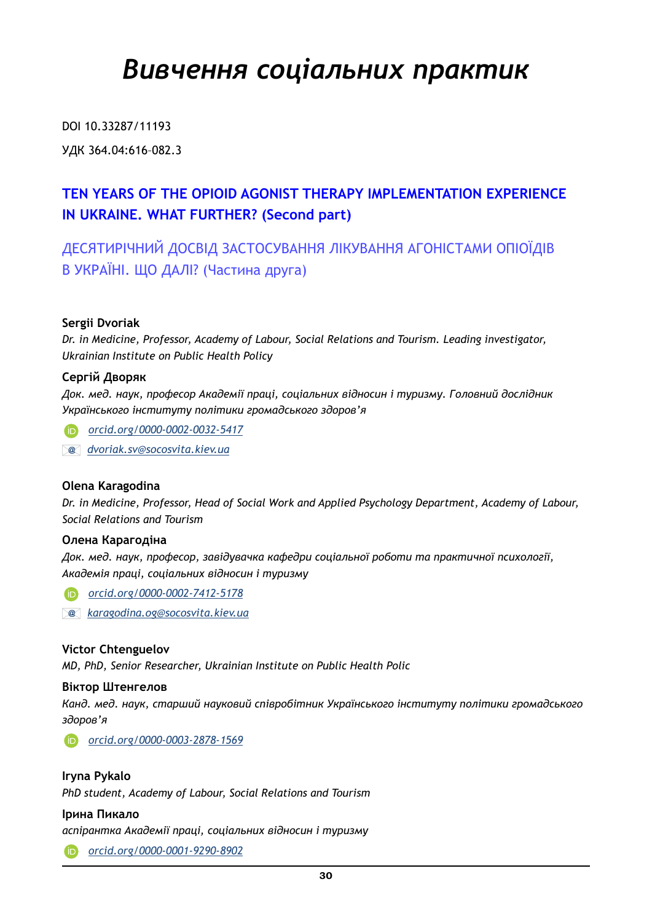## *Вивчення соціальних практик*

DOI 10.33287/11193 УДК 364.04:616–082.3

### **TEN YEARS OF THE OPIOID AGONIST THERAPY IMPLEMENTATION EXPERIENCE IN UKRAINE. WHAT FURTHER? (Second part)**

ДЕСЯТИРІЧНИЙ ДОСВІД ЗАСТОСУВАННЯ ЛІКУВАННЯ АГОНІСТАМИ ОПІОЇДІВ В УКРАЇНІ. ЩО ДАЛІ? (Частина друга)

#### **Sergii Dvoriak**

*Dr. in Medicine, Professor, Academy of Labour, Social Relations and Tourism. Leading investigator, Ukrainian Institute on Public Health Policy*

#### **Сергій Дворяк**

*Док. мед. наук, професор Академії праці, соціальних відносин і туризму. Головний дослідник Українського інституту політики громадського здоров'я*

 *[orcid.org/0000-0002-0032-5417](http://orcid.org/0000-0002-0032-5417)*

 *[dvoriak.sv@socosvita.kiev.ua](mailto:dvoriak.sv@socosvita.kiev.ua)*

#### **Olena Karagodina**

*Dr. in Medicine, Professor, Head of Social Work and Applied Psychology Department, Academy of Labour, Social Relations and Tourism*

#### **Олена Карагодіна**

*Док. мед. наук, професор, завідувачка кафедри соціальної роботи та практичної психології, Академія праці, соціальних відносин і туризму*

 *[orcid.org/0000-0002-7412-5178](http://orcid.org/0000-0002-7412-5178)*

 *[karagodina.og@socosvita.kiev.ua](mailto:karagodina.og@socosvita.kiev.ua)*

#### **Victor Chtenguelov**

*MD, PhD, Senior Researcher, Ukrainian Institute on Public Health Polic*

#### **Віктор Штенгелов**

*Канд. мед. наук, старший науковий співробітник Українського інституту політики громадського здоров'я*

 *[orcid.org/0000-0003-2878-1569](http://orcid.org/0000-0003-2878-1569)*

#### **Iryna Pykalo**

*PhD student, Academy of Labour, Social Relations and Tourism*

#### **Ірина Пикало**

*аспірантка Академії праці, соціальних відносин і туризму*

 *[orcid.org/0000-0001-9290-8902](http://orcid.org/0000-0001-9290-8902)*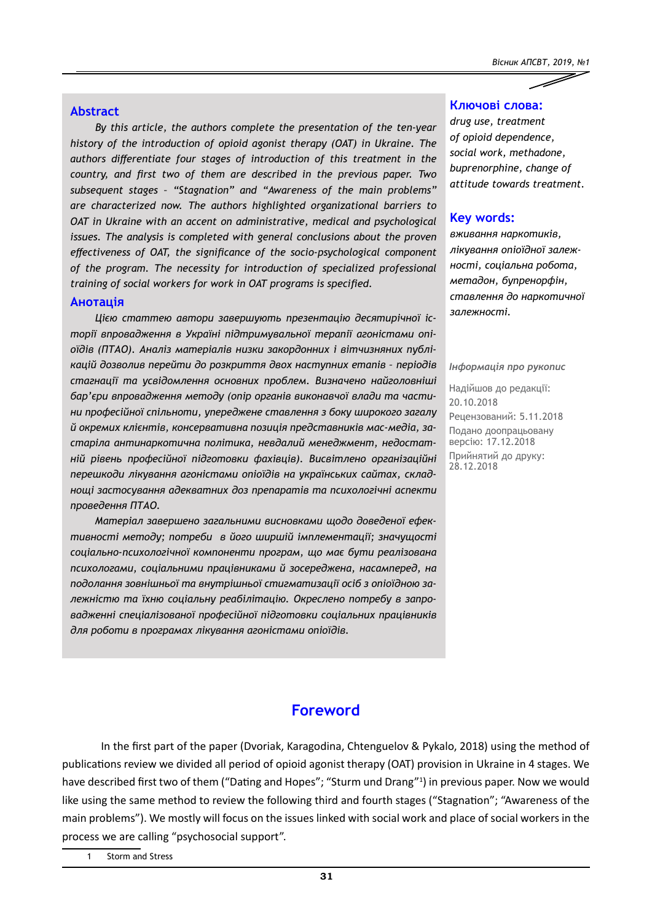$\overline{\mathscr{S}}$ 

#### **Abstract**

*By this article, the authors complete the presentation of the ten-year history of the introduction of opioid agonist therapy (OAT) in Ukraine. The authors differentiate four stages of introduction of this treatment in the country, and first two of them are described in the previous paper. Two subsequent stages – "Stagnation" and "Awareness of the main problems" are characterized now. The authors highlighted organizational barriers to OAT in Ukraine with an accent on administrative, medical and psychological issues. The analysis is completed with general conclusions about the proven effectiveness of OAT, the significance of the socio-psychological component of the program. The necessity for introduction of specialized professional training of social workers for work in OAT programs is specified.*

#### **Анотація**

*Цією статтею автори завершують презентацію десятирічної історії впровадження в Україні підтримувальної терапії агоністами опіоїдів (ПТАО). Аналіз матеріалів низки закордонних і вітчизняних публікацій дозволив перейти до розкриття двох наступних етапів – періодів стагнації та усвідомлення основних проблем. Визначено найголовніші бар'єри впровадження методу (опір органів виконавчої влади та частини професійної спільноти, упереджене ставлення з боку широкого загалу й окремих клієнтів, консервативна позиція представників мас-медіа, застаріла антинаркотична політика, невдалий менеджмент, недостатній рівень професійної підготовки фахівців). Висвітлено організаційні перешкоди лікування агоністами опіоїдів на українських сайтах, складнощі застосування адекватних доз препаратів та психологічні аспекти проведення ПТАО.* 

*Матеріал завершено загальними висновками щодо доведеної ефективності методу; потреби в його ширшій імплементації; значущості соціально-психологічної компоненти програм, що має бути реалізована психологами, соціальними працівниками й зосереджена, насамперед, на подолання зовнішньої та внутрішньої стигматизації осіб з опіоїдною залежністю та їхню соціальну реабілітацію. Окреслено потребу в запровадженні спеціалізованої професійної підготовки соціальних працівників для роботи в програмах лікування агоністами опіоїдів.*

#### **Ключові слова:**

*drug use, treatment of opioid dependence, social work, methadone, buprenorphine, change of attitude towards treatment.*

#### **Key words:**

*вживання наркотиків, лікування опіоїдної залежності, соціальна робота, метадон, бупренорфін, ставлення до наркотичної залежності.*

#### *Інформація про рукопис*

Надійшов до редакції: 20.10.2018 Рецензований: 5.11.2018 Подано доопрацьовану версію: 17.12.2018 Прийнятий до друку: 28.12.2018

#### **Foreword**

In the first part of the paper (Dvoriak, Karagodina, Chtenguelov & Pykalo, 2018) using the method of publications review we divided all period of opioid agonist therapy (OAT) provision in Ukraine in 4 stages. We have described first two of them ("Dating and Hopes"; "Sturm und Drang"1 ) in previous paper. Now we would like using the same method to review the following third and fourth stages ("Stagnation"; "Awareness of the main problems"). We mostly will focus on the issues linked with social work and place of social workers in the process we are calling "psychosocial support".

1 Storm and Stress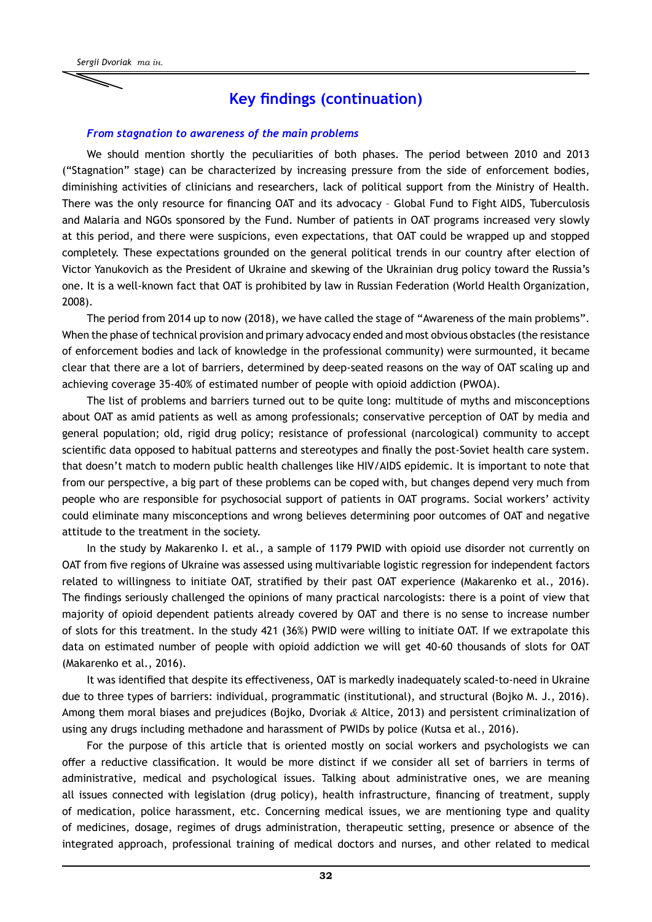#### **Key findings (continuation)**

#### *From stagnation to awareness of the main problems*

We should mention shortly the peculiarities of both phases. The period between 2010 and 2013 ("Stagnation" stage) can be characterized by increasing pressure from the side of enforcement bodies, diminishing activities of clinicians and researchers, lack of political support from the Ministry of Health. There was the only resource for financing OAT and its advocacy – Global Fund to Fight AIDS, Tuberculosis and Malaria and NGOs sponsored by the Fund. Number of patients in OAT programs increased very slowly at this period, and there were suspicions, even expectations, that OAT could be wrapped up and stopped completely. These expectations grounded on the general political trends in our country after election of Victor Yanukovich as the President of Ukraine and skewing of the Ukrainian drug policy toward the Russia's one. It is a well-known fact that OAT is prohibited by law in Russian Federation (World Health Organization, 2008).

The period from 2014 up to now (2018), we have called the stage of "Awareness of the main problems". When the phase of technical provision and primary advocacy ended and most obvious obstacles (the resistance of enforcement bodies and lack of knowledge in the professional community) were surmounted, it became clear that there are a lot of barriers, determined by deep-seated reasons on the way of OAT scaling up and achieving coverage 35-40% of estimated number of people with opioid addiction (PWOA).

The list of problems and barriers turned out to be quite long: multitude of myths and misconceptions about OAT as amid patients as well as among professionals; conservative perception of OAT by media and general population; old, rigid drug policy; resistance of professional (narcological) community to accept scientific data opposed to habitual patterns and stereotypes and finally the post-Soviet health care system. that doesn't match to modern public health challenges like HIV/AIDS epidemic. It is important to note that from our perspective, a big part of these problems can be coped with, but changes depend very much from people who are responsible for psychosocial support of patients in OAT programs. Social workers' activity could eliminate many misconceptions and wrong believes determining poor outcomes of OAT and negative attitude to the treatment in the society.

In the study by Makarenko I. et al., a sample of 1179 PWID with opioid use disorder not currently on OAT from five regions of Ukraine was assessed using multivariable logistic regression for independent factors related to willingness to initiate OAT, stratified by their past OAT experience (Makarenko et al., 2016). The findings seriously challenged the opinions of many practical narcologists: there is a point of view that majority of opioid dependent patients already covered by OAT and there is no sense to increase number of slots for this treatment. In the study 421 (36%) PWID were willing to initiate OAT. If we extrapolate this data on estimated number of people with opioid addiction we will get 40-60 thousands of slots for OAT (Makarenko et al., 2016).

It was identified that despite its effectiveness, OAT is markedly inadequately scaled-to-need in Ukraine due to three types of barriers: individual, programmatic (institutional), and structural (Bojko M. J., 2016). Among them moral biases and prejudices (Bojko, Dvoriak *&* Altice, 2013) and persistent criminalization of using any drugs including methadone and harassment of PWIDs by police (Kutsa et al., 2016).

For the purpose of this article that is oriented mostly on social workers and psychologists we can offer a reductive classification. It would be more distinct if we consider all set of barriers in terms of administrative, medical and psychological issues. Talking about administrative ones, we are meaning all issues connected with legislation (drug policy), health infrastructure, financing of treatment, supply of medication, police harassment, etc. Concerning medical issues, we are mentioning type and quality of medicines, dosage, regimes of drugs administration, therapeutic setting, presence or absence of the integrated approach, professional training of medical doctors and nurses, and other related to medical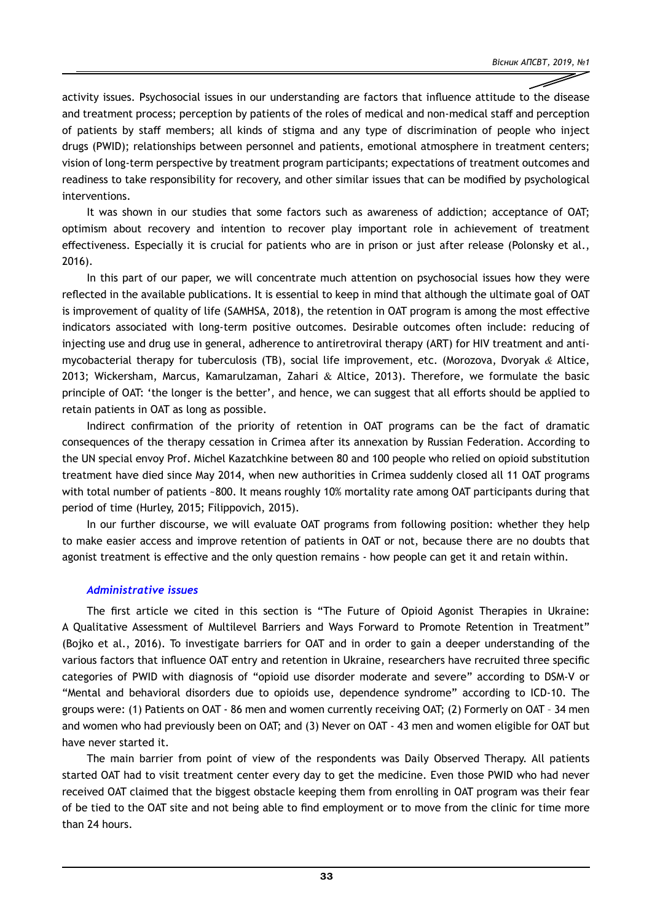activity issues. Psychosocial issues in our understanding are factors that influence attitude to the disease and treatment process; perception by patients of the roles of medical and non-medical staff and perception of patients by staff members; all kinds of stigma and any type of discrimination of people who inject drugs (PWID); relationships between personnel and patients, emotional atmosphere in treatment centers; vision of long-term perspective by treatment program participants; expectations of treatment outcomes and readiness to take responsibility for recovery, and other similar issues that can be modified by psychological interventions.

It was shown in our studies that some factors such as awareness of addiction; acceptance of OAT; optimism about recovery and intention to recover play important role in achievement of treatment effectiveness. Especially it is crucial for patients who are in prison or just after release (Polonsky et al., 2016).

In this part of our paper, we will concentrate much attention on psychosocial issues how they were reflected in the available publications. It is essential to keep in mind that although the ultimate goal of OAT is improvement of quality of life (SAMHSA, 2018), the retention in OAT program is among the most effective indicators associated with long-term positive outcomes. Desirable outcomes often include: reducing of injecting use and drug use in general, adherence to antiretroviral therapy (ART) for HIV treatment and antimycobacterial therapy for tuberculosis (TB), social life improvement, etc. (Morozova, Dvoryak *&* Altice, 2013; Wickersham, Marcus, Kamarulzaman, Zahari & Altice, 2013). Therefore, we formulate the basic principle of OAT: 'the longer is the better', and hence, we can suggest that all efforts should be applied to retain patients in OAT as long as possible.

Indirect confirmation of the priority of retention in OAT programs can be the fact of dramatic consequences of the therapy cessation in Crimea after its annexation by Russian Federation. According to the UN special envoy Prof. Michel Kazatchkine between 80 and 100 people who relied on opioid substitution treatment have died since May 2014, when new authorities in Crimea suddenly closed all 11 OAT programs with total number of patients ~800. It means roughly 10% mortality rate among OAT participants during that period of time (Hurley, 2015; Filippovich, 2015).

In our further discourse, we will evaluate OAT programs from following position: whether they help to make easier access and improve retention of patients in OAT or not, because there are no doubts that agonist treatment is effective and the only question remains - how people can get it and retain within.

#### *Administrative issues*

The first article we cited in this section is "The Future of Opioid Agonist Therapies in Ukraine: A Qualitative Assessment of Multilevel Barriers and Ways Forward to Promote Retention in Treatment" (Bojko et al., 2016). To investigate barriers for OAT and in order to gain a deeper understanding of the various factors that influence OAT entry and retention in Ukraine, researchers have recruited three specific categories of PWID with diagnosis of "opioid use disorder moderate and severe" according to DSM-V or "Mental and behavioral disorders due to opioids use, dependence syndrome" according to ICD-10. The groups were: (1) Patients on OAT - 86 men and women currently receiving OAT; (2) Formerly on OAT – 34 men and women who had previously been on OAT; and (3) Never on OAT - 43 men and women eligible for OAT but have never started it.

The main barrier from point of view of the respondents was Daily Observed Therapy. All patients started OAT had to visit treatment center every day to get the medicine. Even those PWID who had never received OAT claimed that the biggest obstacle keeping them from enrolling in OAT program was their fear of be tied to the OAT site and not being able to find employment or to move from the clinic for time more than 24 hours.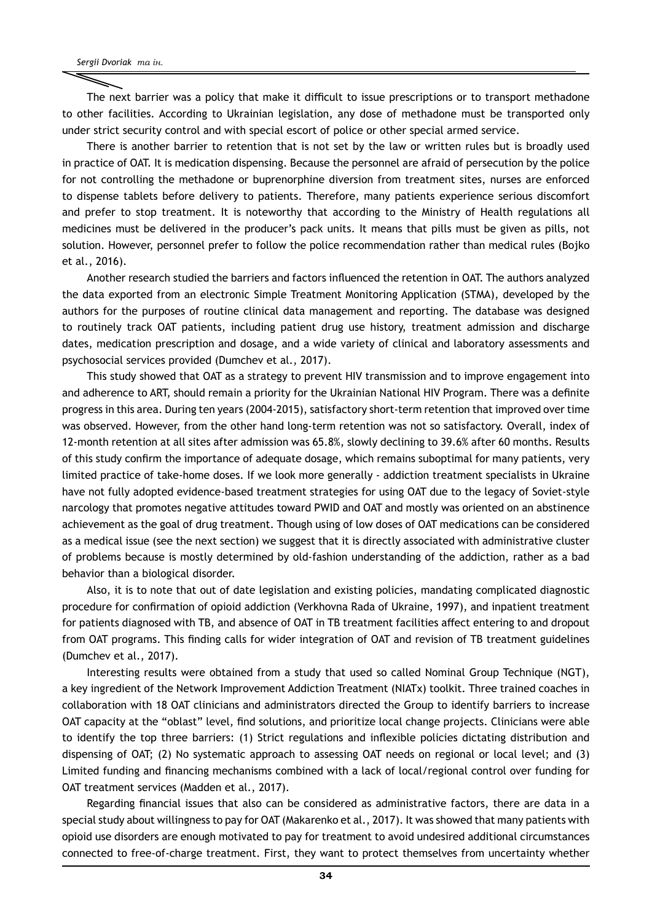The next barrier was a policy that make it difficult to issue prescriptions or to transport methadone to other facilities. According to Ukrainian legislation, any dose of methadone must be transported only under strict security control and with special escort of police or other special armed service.

There is another barrier to retention that is not set by the law or written rules but is broadly used in practice of OAT. It is medication dispensing. Because the personnel are afraid of persecution by the police for not controlling the methadone or buprenorphine diversion from treatment sites, nurses are enforced to dispense tablets before delivery to patients. Therefore, many patients experience serious discomfort and prefer to stop treatment. It is noteworthy that according to the Ministry of Health regulations all medicines must be delivered in the producer's pack units. It means that pills must be given as pills, not solution. However, personnel prefer to follow the police recommendation rather than medical rules (Bojko et al., 2016).

Another research studied the barriers and factors influenced the retention in OAT. The authors analyzed the data exported from an electronic Simple Treatment Monitoring Application (STMA), developed by the authors for the purposes of routine clinical data management and reporting. The database was designed to routinely track OAT patients, including patient drug use history, treatment admission and discharge dates, medication prescription and dosage, and a wide variety of clinical and laboratory assessments and psychosocial services provided (Dumchev et al., 2017).

This study showed that OAT as a strategy to prevent HIV transmission and to improve engagement into and adherence to ART, should remain a priority for the Ukrainian National HIV Program. There was a definite progress in this area. During ten years (2004-2015), satisfactory short-term retention that improved over time was observed. However, from the other hand long-term retention was not so satisfactory. Overall, index of 12-month retention at all sites after admission was 65.8%, slowly declining to 39.6% after 60 months. Results of this study confirm the importance of adequate dosage, which remains suboptimal for many patients, very limited practice of take-home doses. If we look more generally - addiction treatment specialists in Ukraine have not fully adopted evidence-based treatment strategies for using OAT due to the legacy of Soviet-style narcology that promotes negative attitudes toward PWID and OAT and mostly was oriented on an abstinence achievement as the goal of drug treatment. Though using of low doses of OAT medications can be considered as a medical issue (see the next section) we suggest that it is directly associated with administrative cluster of problems because is mostly determined by old-fashion understanding of the addiction, rather as a bad behavior than a biological disorder.

Also, it is to note that out of date legislation and existing policies, mandating complicated diagnostic procedure for confirmation of opioid addiction (Verkhovna Rada of Ukraine, 1997), and inpatient treatment for patients diagnosed with TB, and absence of OAT in TB treatment facilities affect entering to and dropout from OAT programs. This finding calls for wider integration of OAT and revision of TB treatment guidelines (Dumchev et al., 2017).

Interesting results were obtained from a study that used so called Nominal Group Technique (NGT), a key ingredient of the Network Improvement Addiction Treatment (NIATx) toolkit. Three trained coaches in collaboration with 18 OAT clinicians and administrators directed the Group to identify barriers to increase OAT capacity at the "oblast" level, find solutions, and prioritize local change projects. Clinicians were able to identify the top three barriers: (1) Strict regulations and inflexible policies dictating distribution and dispensing of OAT; (2) No systematic approach to assessing OAT needs on regional or local level; and (3) Limited funding and financing mechanisms combined with a lack of local/regional control over funding for OAT treatment services (Madden et al., 2017).

Regarding financial issues that also can be considered as administrative factors, there are data in a special study about willingness to pay for OAT (Makarenko et al., 2017). It was showed that many patients with opioid use disorders are enough motivated to pay for treatment to avoid undesired additional circumstances connected to free-of-charge treatment. First, they want to protect themselves from uncertainty whether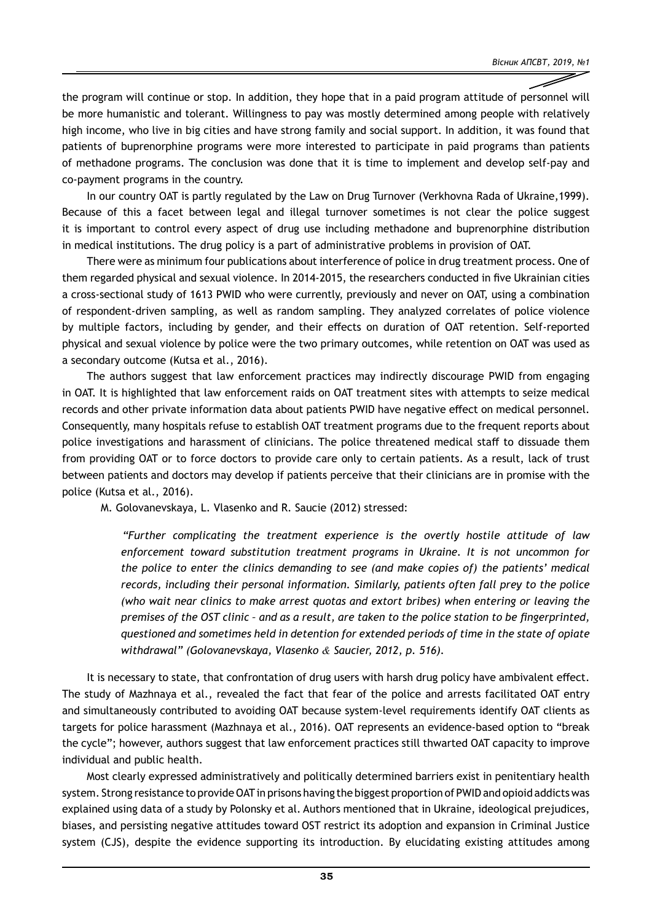the program will continue or stop. In addition, they hope that in a paid program attitude of personnel will be more humanistic and tolerant. Willingness to pay was mostly determined among people with relatively high income, who live in big cities and have strong family and social support. In addition, it was found that patients of buprenorphine programs were more interested to participate in paid programs than patients of methadone programs. The conclusion was done that it is time to implement and develop self-pay and co-payment programs in the country.

In our country OAT is partly regulated by the Law on Drug Turnover (Verkhovna Rada of Ukraine,1999). Because of this a facet between legal and illegal turnover sometimes is not clear the police suggest it is important to control every aspect of drug use including methadone and buprenorphine distribution in medical institutions. The drug policy is a part of administrative problems in provision of OAT.

There were as minimum four publications about interference of police in drug treatment process. One of them regarded physical and sexual violence. In 2014-2015, the researchers conducted in five Ukrainian cities a cross-sectional study of 1613 PWID who were currently, previously and never on OAT, using a combination of respondent-driven sampling, as well as random sampling. They analyzed correlates of police violence by multiple factors, including by gender, and their effects on duration of OAT retention. Self-reported physical and sexual violence by police were the two primary outcomes, while retention on OAT was used as a secondary outcome (Kutsa et al., 2016).

The authors suggest that law enforcement practices may indirectly discourage PWID from engaging in OAT. It is highlighted that law enforcement raids on OAT treatment sites with attempts to seize medical records and other private information data about patients PWID have negative effect on medical personnel. Consequently, many hospitals refuse to establish OAT treatment programs due to the frequent reports about police investigations and harassment of clinicians. The police threatened medical staff to dissuade them from providing OAT or to force doctors to provide care only to certain patients. As a result, lack of trust between patients and doctors may develop if patients perceive that their clinicians are in promise with the police (Kutsa et al., 2016).

M. Golovanevskaya, L. Vlasenko and R. Saucie (2012) stressed:

*"Further complicating the treatment experience is the overtly hostile attitude of law enforcement toward substitution treatment programs in Ukraine. It is not uncommon for the police to enter the clinics demanding to see (and make copies of) the patients' medical records, including their personal information. Similarly, patients often fall prey to the police (who wait near clinics to make arrest quotas and extort bribes) when entering or leaving the premises of the OST clinic – and as a result, are taken to the police station to be fingerprinted, questioned and sometimes held in detention for extended periods of time in the state of opiate withdrawal" (Golovanevskaya, Vlasenko & Saucier, 2012, p. 516).*

It is necessary to state, that confrontation of drug users with harsh drug policy have ambivalent effect. The study of Mazhnaya et al., revealed the fact that fear of the police and arrests facilitated OAT entry and simultaneously contributed to avoiding OAT because system-level requirements identify OAT clients as targets for police harassment (Mazhnaya et al., 2016). OAT represents an evidence-based option to "break the cycle"; however, authors suggest that law enforcement practices still thwarted OAT capacity to improve individual and public health.

Most clearly expressed administratively and politically determined barriers exist in penitentiary health system. Strong resistance to provide OAT in prisons having the biggest proportion of PWID and opioid addicts was explained using data of a study by Polonsky et al. Authors mentioned that in Ukraine, ideological prejudices, biases, and persisting negative attitudes toward OST restrict its adoption and expansion in Criminal Justice system (CJS), despite the evidence supporting its introduction. By elucidating existing attitudes among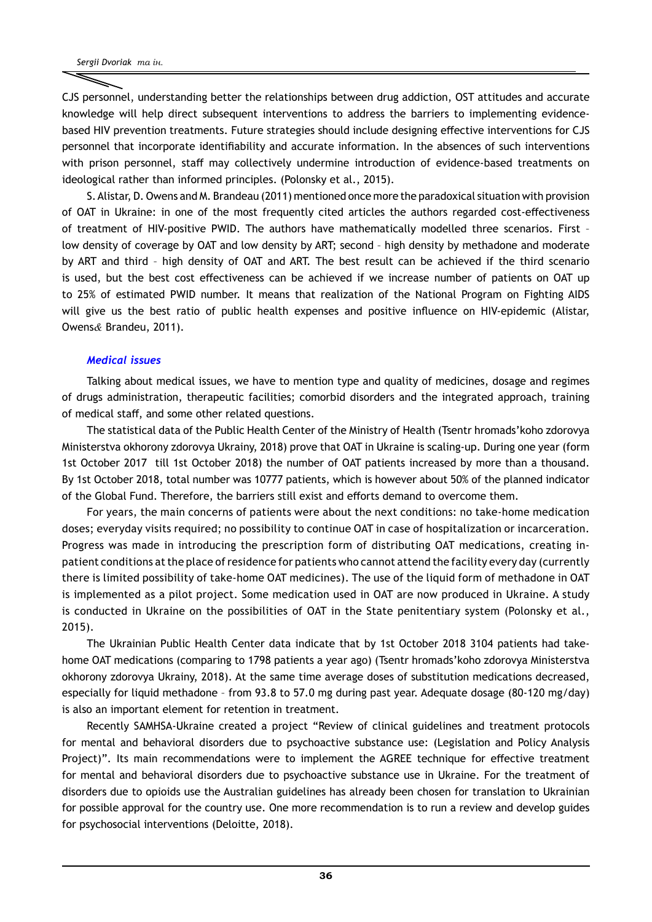CJS personnel, understanding better the relationships between drug addiction, OST attitudes and accurate knowledge will help direct subsequent interventions to address the barriers to implementing evidencebased HIV prevention treatments. Future strategies should include designing effective interventions for CJS personnel that incorporate identifiability and accurate information. In the absences of such interventions with prison personnel, staff may collectively undermine introduction of evidence-based treatments on ideological rather than informed principles. (Polonsky et al., 2015).

S.Alistar, D. Owens and M. Brandeau (2011) mentioned once more the paradoxical situation with provision of OAT in Ukraine: in one of the most frequently cited articles the authors regarded cost-effectiveness of treatment of HIV-positive PWID. The authors have mathematically modelled three scenarios. First – low density of coverage by OAT and low density by ART; second – high density by methadone and moderate by ART and third – high density of OAT and ART. The best result can be achieved if the third scenario is used, but the best cost effectiveness can be achieved if we increase number of patients on OAT up to 25% of estimated PWID number. It means that realization of the National Program on Fighting AIDS will give us the best ratio of public health expenses and positive influence on HIV-epidemic (Alistar, Owens*&* Brandeu, 2011).

#### *Medical issues*

Talking about medical issues, we have to mention type and quality of medicines, dosage and regimes of drugs administration, therapeutic facilities; comorbid disorders and the integrated approach, training of medical staff, and some other related questions.

The statistical data of the Public Health Center of the Ministry of Health (Tsentr hromads'koho zdorovya Ministerstva okhorony zdorovya Ukrainy, 2018) prove that OAT in Ukraine is scaling-up. During one year (form 1st October 2017 till 1st October 2018) the number of OAT patients increased by more than a thousand. By 1st October 2018, total number was 10777 patients, which is however about 50% of the planned indicator of the Global Fund. Therefore, the barriers still exist and efforts demand to overcome them.

For years, the main concerns of patients were about the next conditions: no take-home medication doses; everyday visits required; no possibility to continue OAT in case of hospitalization or incarceration. Progress was made in introducing the prescription form of distributing OAT medications, creating inpatient conditions at the place of residence for patients who cannot attend the facility every day (currently there is limited possibility of take-home OAT medicines). The use of the liquid form of methadone in OAT is implemented as a pilot project. Some medication used in OAT are now produced in Ukraine. A study is conducted in Ukraine on the possibilities of OAT in the State penitentiary system (Polonsky et al., 2015).

The Ukrainian Public Health Center data indicate that by 1st October 2018 3104 patients had takehome OAT medications (comparing to 1798 patients a year ago) (Tsentr hromads'koho zdorovya Ministerstva okhorony zdorovya Ukrainy, 2018). At the same time average doses of substitution medications decreased, especially for liquid methadone – from 93.8 to 57.0 mg during past year. Adequate dosage (80-120 mg/day) is also an important element for retention in treatment.

Recently SAMHSA-Ukraine created a project "Review of clinical guidelines and treatment protocols for mental and behavioral disorders due to psychoactive substance use: (Legislation and Policy Analysis Project)". Its main recommendations were to implement the AGREE technique for effective treatment for mental and behavioral disorders due to psychoactive substance use in Ukraine. For the treatment of disorders due to opioids use the Australian guidelines has already been chosen for translation to Ukrainian for possible approval for the country use. One more recommendation is to run a review and develop guides for psychosocial interventions (Deloitte, 2018).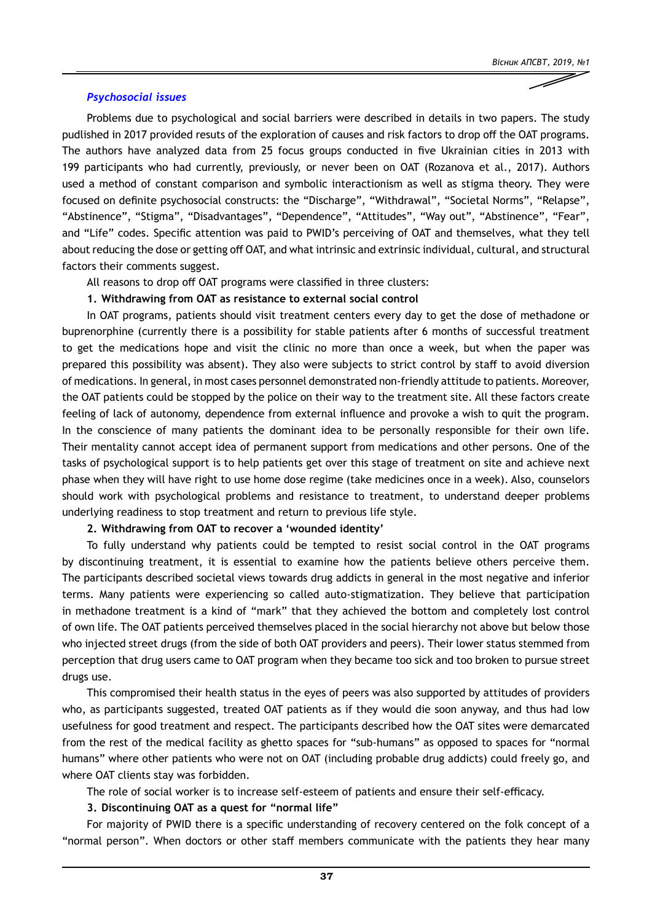#### *Psychosocial issues*

Problems due to psychological and social barriers were described in details in two papers. The study pudlished in 2017 provided resuts of the exploration of causes and risk factors to drop off the OAT programs. The authors have analyzed data from 25 focus groups conducted in five Ukrainian cities in 2013 with 199 participants who had currently, previously, or never been on OAT (Rozanova et al., 2017). Authors used a method of constant comparison and symbolic interactionism as well as stigma theory. They were focused on definite psychosocial constructs: the "Discharge", "Withdrawal", "Societal Norms", "Relapse", "Abstinence", "Stigma", "Disadvantages", "Dependence", "Attitudes", "Way out", "Abstinence", "Fear", and "Life" codes. Specific attention was paid to PWID's perceiving of OAT and themselves, what they tell about reducing the dose or getting off OAT, and what intrinsic and extrinsic individual, cultural, and structural factors their comments suggest.

All reasons to drop off OAT programs were classified in three clusters:

#### **1. Withdrawing from OAT as resistance to external social control**

In OAT programs, patients should visit treatment centers every day to get the dose of methadone or buprenorphine (currently there is a possibility for stable patients after 6 months of successful treatment to get the medications hope and visit the clinic no more than once a week, but when the paper was prepared this possibility was absent). They also were subjects to strict control by staff to avoid diversion of medications. In general, in most cases personnel demonstrated non-friendly attitude to patients. Moreover, the OAT patients could be stopped by the police on their way to the treatment site. All these factors create feeling of lack of autonomy, dependence from external influence and provoke a wish to quit the program. In the conscience of many patients the dominant idea to be personally responsible for their own life. Their mentality cannot accept idea of permanent support from medications and other persons. One of the tasks of psychological support is to help patients get over this stage of treatment on site and achieve next phase when they will have right to use home dose regime (take medicines once in a week). Also, counselors should work with psychological problems and resistance to treatment, to understand deeper problems underlying readiness to stop treatment and return to previous life style.

#### **2. Withdrawing from OAT to recover a 'wounded identity'**

To fully understand why patients could be tempted to resist social control in the OAT programs by discontinuing treatment, it is essential to examine how the patients believe others perceive them. The participants described societal views towards drug addicts in general in the most negative and inferior terms. Many patients were experiencing so called auto-stigmatization. They believe that participation in methadone treatment is a kind of "mark" that they achieved the bottom and completely lost control of own life. The OAT patients perceived themselves placed in the social hierarchy not above but below those who injected street drugs (from the side of both OAT providers and peers). Their lower status stemmed from perception that drug users came to OAT program when they became too sick and too broken to pursue street drugs use.

This compromised their health status in the eyes of peers was also supported by attitudes of providers who, as participants suggested, treated OAT patients as if they would die soon anyway, and thus had low usefulness for good treatment and respect. The participants described how the OAT sites were demarcated from the rest of the medical facility as ghetto spaces for "sub-humans" as opposed to spaces for "normal humans" where other patients who were not on OAT (including probable drug addicts) could freely go, and where OAT clients stay was forbidden.

The role of social worker is to increase self-esteem of patients and ensure their self-efficacy.

#### **3. Discontinuing OAT as a quest for "normal life"**

For majority of PWID there is a specific understanding of recovery centered on the folk concept of a "normal person". When doctors or other staff members communicate with the patients they hear many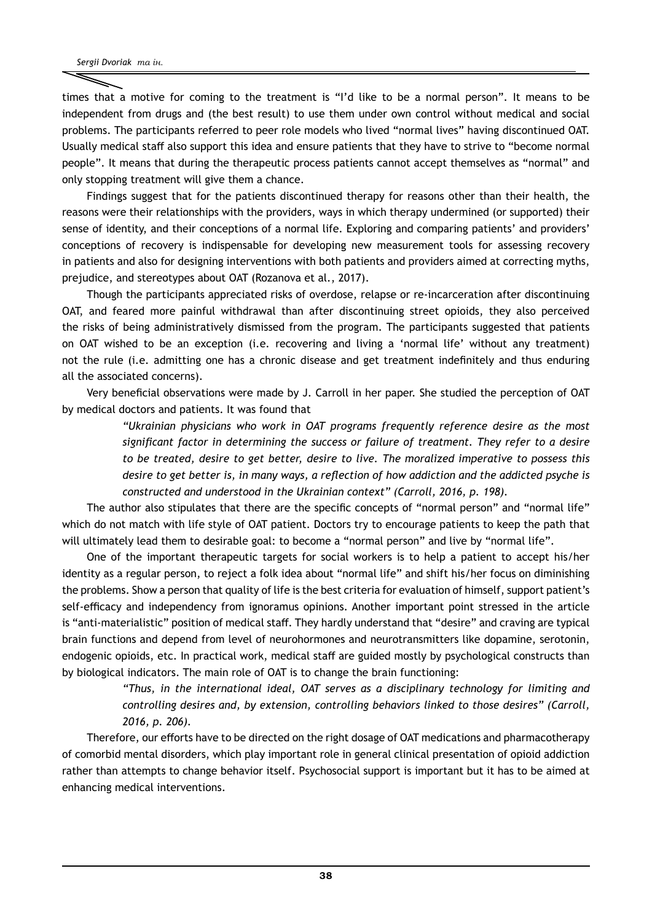times that a motive for coming to the treatment is "I'd like to be a normal person". It means to be independent from drugs and (the best result) to use them under own control without medical and social problems. The participants referred to peer role models who lived "normal lives" having discontinued OAT. Usually medical staff also support this idea and ensure patients that they have to strive to "become normal people". It means that during the therapeutic process patients cannot accept themselves as "normal" and only stopping treatment will give them a chance.

Findings suggest that for the patients discontinued therapy for reasons other than their health, the reasons were their relationships with the providers, ways in which therapy undermined (or supported) their sense of identity, and their conceptions of a normal life. Exploring and comparing patients' and providers' conceptions of recovery is indispensable for developing new measurement tools for assessing recovery in patients and also for designing interventions with both patients and providers aimed at correcting myths, prejudice, and stereotypes about OAT (Rozanova et al., 2017).

Though the participants appreciated risks of overdose, relapse or re-incarceration after discontinuing OAT, and feared more painful withdrawal than after discontinuing street opioids, they also perceived the risks of being administratively dismissed from the program. The participants suggested that patients on OAT wished to be an exception (i.e. recovering and living a 'normal life' without any treatment) not the rule (i.e. admitting one has a chronic disease and get treatment indefinitely and thus enduring all the associated concerns).

Very beneficial observations were made by J. Carroll in her paper. She studied the perception of OAT by medical doctors and patients. It was found that

> *"Ukrainian physicians who work in OAT programs frequently reference desire as the most significant factor in determining the success or failure of treatment. They refer to a desire to be treated, desire to get better, desire to live. The moralized imperative to possess this desire to get better is, in many ways, a reflection of how addiction and the addicted psyche is constructed and understood in the Ukrainian context" (Carroll, 2016, p. 198).*

The author also stipulates that there are the specific concepts of "normal person" and "normal life" which do not match with life style of OAT patient. Doctors try to encourage patients to keep the path that will ultimately lead them to desirable goal: to become a "normal person" and live by "normal life".

One of the important therapeutic targets for social workers is to help a patient to accept his/her identity as a regular person, to reject a folk idea about "normal life" and shift his/her focus on diminishing the problems. Show a person that quality of life is the best criteria for evaluation of himself, support patient's self-efficacy and independency from ignoramus opinions. Another important point stressed in the article is "anti-materialistic" position of medical staff. They hardly understand that "desire" and craving are typical brain functions and depend from level of neurohormones and neurotransmitters like dopamine, serotonin, endogenic opioids, etc. In practical work, medical staff are guided mostly by psychological constructs than by biological indicators. The main role of OAT is to change the brain functioning:

> *"Thus, in the international ideal, OAT serves as a disciplinary technology for limiting and controlling desires and, by extension, controlling behaviors linked to those desires" (Carroll, 2016, p. 206).*

Therefore, our efforts have to be directed on the right dosage of OAT medications and pharmacotherapy of comorbid mental disorders, which play important role in general clinical presentation of opioid addiction rather than attempts to change behavior itself. Psychosocial support is important but it has to be aimed at enhancing medical interventions.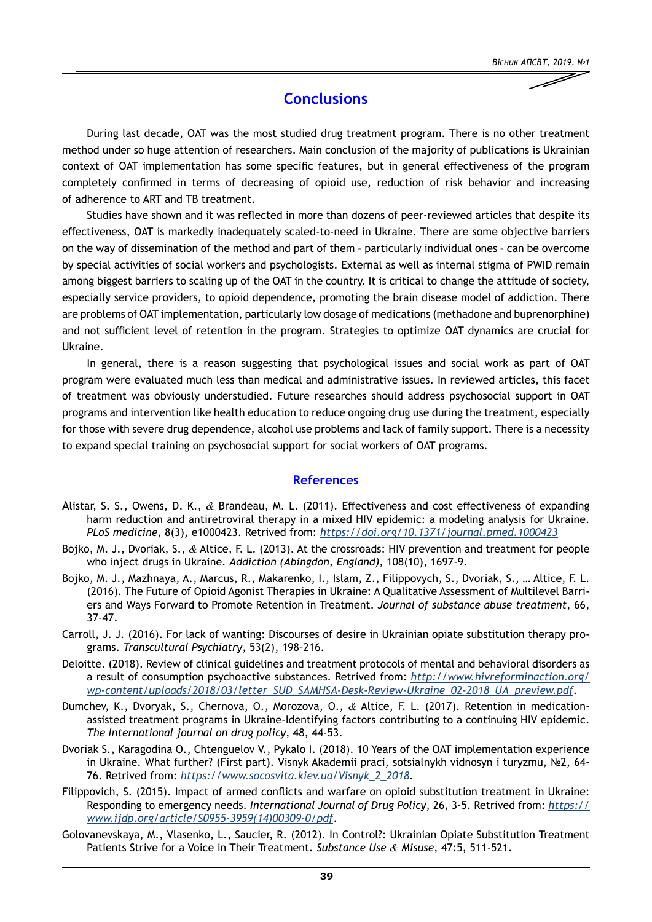# *Вісник АПСВТ, 2019, №1*

#### **Conclusions**

During last decade, OAT was the most studied drug treatment program. There is no other treatment method under so huge attention of researchers. Main conclusion of the majority of publications is Ukrainian context of OAT implementation has some specific features, but in general effectiveness of the program completely confirmed in terms of decreasing of opioid use, reduction of risk behavior and increasing of adherence to ART and TB treatment.

Studies have shown and it was reflected in more than dozens of peer-reviewed articles that despite its effectiveness, OAT is markedly inadequately scaled-to-need in Ukraine. There are some objective barriers on the way of dissemination of the method and part of them – particularly individual ones – can be overcome by special activities of social workers and psychologists. External as well as internal stigma of PWID remain among biggest barriers to scaling up of the OAT in the country. It is critical to change the attitude of society, especially service providers, to opioid dependence, promoting the brain disease model of addiction. There are problems of OAT implementation, particularly low dosage of medications (methadone and buprenorphine) and not sufficient level of retention in the program. Strategies to optimize OAT dynamics are crucial for Ukraine.

In general, there is a reason suggesting that psychological issues and social work as part of OAT program were evaluated much less than medical and administrative issues. In reviewed articles, this facet of treatment was obviously understudied. Future researches should address psychosocial support in OAT programs and intervention like health education to reduce ongoing drug use during the treatment, especially for those with severe drug dependence, alcohol use problems and lack of family support. There is a necessity to expand special training on psychosocial support for social workers of OAT programs.

#### **References**

- Alistar, S. S., Owens, D. K., *&* Brandeau, M. L. (2011). Effectiveness and cost effectiveness of expanding harm reduction and antiretroviral therapy in a mixed HIV epidemic: a modeling analysis for Ukraine. *PLoS medicine*, 8(3), e1000423. Retrived from: *<https://doi.org/10.1371/journal.pmed.1000423>*
- Bojko, M. J., Dvoriak, S., *&* Altice, F. L. (2013). At the crossroads: HIV prevention and treatment for people who inject drugs in Ukraine. *Addiction (Abingdon, England),* 108(10), 1697-9.
- Bojko, M. J., Mazhnaya, A., Marcus, R., Makarenko, I., Islam, Z., Filippovych, S., Dvoriak, S., … Altice, F. L. (2016). The Future of Opioid Agonist Therapies in Ukraine: A Qualitative Assessment of Multilevel Barriers and Ways Forward to Promote Retention in Treatment. *Journal of substance abuse treatment*, 66, 37-47.
- Carroll, J. J. (2016). For lack of wanting: Discourses of desire in Ukrainian opiate substitution therapy programs. *Transcultural Psychiatry*, 53(2), 198–216.
- Deloitte. (2018). Review of clinical guidelines and treatment protocols of mental and behavioral disorders as a result of consumption psychoactive substances. Retrived from: *[http://www.hivreforminaction.org/](http://www.hivreforminaction.org/wp-content/uploads/2018/03/letter_SUD_SAMHSA-Desk-Review-Ukraine_02-2018_UA_preview.pdf) [wp-content/uploads/2018/03/letter\\_SUD\\_SAMHSA-Desk-Review-Ukraine\\_02-2018\\_UA\\_preview.pdf](http://www.hivreforminaction.org/wp-content/uploads/2018/03/letter_SUD_SAMHSA-Desk-Review-Ukraine_02-2018_UA_preview.pdf)*.
- Dumchev, K., Dvoryak, S., Chernova, O., Morozova, O., *&* Altice, F. L. (2017). Retention in medicationassisted treatment programs in Ukraine-Identifying factors contributing to a continuing HIV epidemic. *The International journal on drug policy*, 48, 44-53.
- Dvoriak S., Karagodina O., Chtenguelov V., Pykalo I. (2018). 10 Years of the OAT implementation experience in Ukraine. What further? (First part). Visnyk Akademii praci, sotsialnykh vidnosyn i turyzmu, №2, 64- 76. Retrived from: *[https://www.socosvita.kiev.ua/Visnyk\\_2\\_2018](https://www.socosvita.kiev.ua/Visnyk_2_2018)*.
- Filippovich, S. (2015). Impact of armed conflicts and warfare on opioid substitution treatment in Ukraine: Responding to emergency needs. *International Journal of Drug Policy*, 26, 3-5. Retrived from: *[https://](https://www.ijdp.org/article/S0955-3959(14)00309-0/pdf) [www.ijdp.org/article/S0955-3959\(14\)00309-0/pdf](https://www.ijdp.org/article/S0955-3959(14)00309-0/pdf)*.
- Golovanevskaya, M., Vlasenko, L., Saucier, R. (2012). In Control?: Ukrainian Opiate Substitution Treatment Patients Strive for a Voice in Their Treatment. *Substance Use & Misuse*, 47:5, 511-521.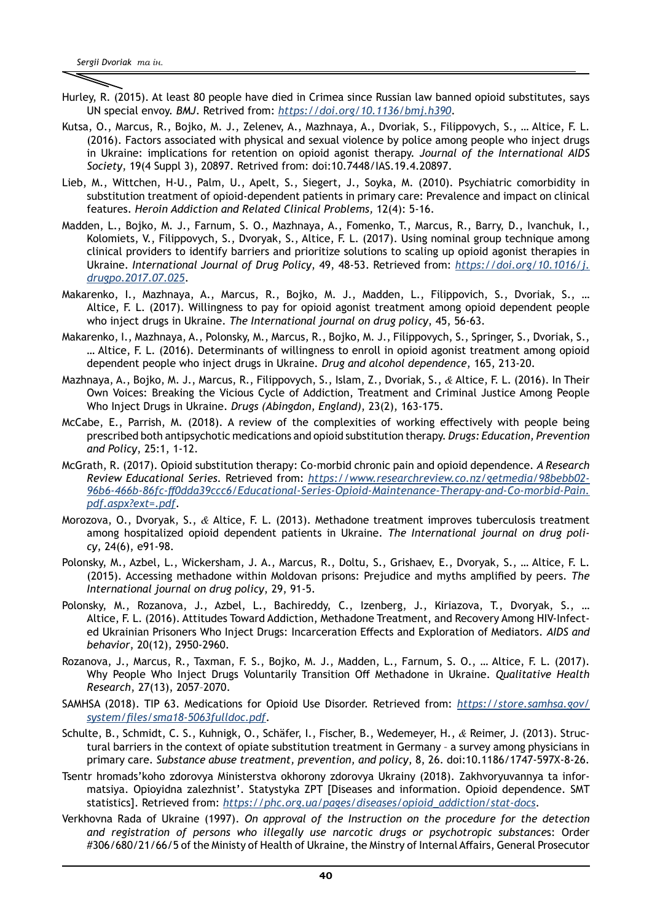- Hurley, R. (2015). At least 80 people have died in Crimea since Russian law banned opioid substitutes, says UN special envoy. *BMJ*. Retrived from: *<https://doi.org/10.1136/bmj.h390>*.
- Kutsa, O., Marcus, R., Bojko, M. J., Zelenev, A., Mazhnaya, A., Dvoriak, S., Filippovych, S., … Altice, F. L. (2016). Factors associated with physical and sexual violence by police among people who inject drugs in Ukraine: implications for retention on opioid agonist therapy. *Journal of the International AIDS Society*, 19(4 Suppl 3), 20897. Retrived from: doi:10.7448/IAS.19.4.20897.
- Lieb, M., Wittchen, H-U., Palm, U., Apelt, S., Siegert, J., Soyka, M. (2010). Psychiatric comorbidity in substitution treatment of opioid-dependent patients in primary care: Prevalence and impact on clinical features. *Heroin Addiction and Related Clinical Problems,* 12(4): 5-16.
- Madden, L., Bojko, M. J., Farnum, S. O., Mazhnaya, A., Fomenko, T., Marcus, R., Barry, D., Ivanchuk, I., Kolomiets, V., Filippovych, S., Dvoryak, S., Altice, F. L. (2017). Using nominal group technique among clinical providers to identify barriers and prioritize solutions to scaling up opioid agonist therapies in Ukraine. *International Journal of Drug Policy*, 49, 48-53. Retrieved from: *[https://doi.org/10.1016/j.](https://doi.org/10.1016/j.drugpo.2017.07.025) [drugpo.2017.07.025](https://doi.org/10.1016/j.drugpo.2017.07.025)*.
- Makarenko, I., Mazhnaya, A., Marcus, R., Bojko, M. J., Madden, L., Filippovich, S., Dvoriak, S., … Altice, F. L. (2017). Willingness to pay for opioid agonist treatment among opioid dependent people who inject drugs in Ukraine. *The International journal on drug policy*, 45, 56-63.
- Makarenko, I., Mazhnaya, A., Polonsky, M., Marcus, R., Bojko, M. J., Filippovych, S., Springer, S., Dvoriak, S., … Altice, F. L. (2016). Determinants of willingness to enroll in opioid agonist treatment among opioid dependent people who inject drugs in Ukraine. *Drug and alcohol dependence*, 165, 213-20.
- Mazhnaya, A., Bojko, M. J., Marcus, R., Filippovych, S., Islam, Z., Dvoriak, S., *&* Altice, F. L. (2016). In Their Own Voices: Breaking the Vicious Cycle of Addiction, Treatment and Criminal Justice Among People Who Inject Drugs in Ukraine. *Drugs (Abingdon, England)*, 23(2), 163-175.
- McCabe, E., Parrish, M. (2018). A review of the complexities of working effectively with people being prescribed both antipsychotic medications and opioid substitution therapy. *Drugs: Education, Prevention and Policy*, 25:1, 1-12.
- McGrath, R. (2017). Opioid substitution therapy: Co-morbid chronic pain and opioid dependence. *A Research Review Educational Series.* Retrieved from: *[https://www.researchreview.co.nz/getmedia/98bebb02-](https://www.researchreview.co.nz/getmedia/98bebb02-96b6-466b-86fc-ff0dda39ccc6/Educational-Series-Opioid-Maintenance-Therapy-and-Co-morbid-Pain.pdf.aspx?ext=.pdf) [96b6-466b-86fc-ff0dda39ccc6/Educational-Series-Opioid-Maintenance-Therapy-and-Co-morbid-Pain.](https://www.researchreview.co.nz/getmedia/98bebb02-96b6-466b-86fc-ff0dda39ccc6/Educational-Series-Opioid-Maintenance-Therapy-and-Co-morbid-Pain.pdf.aspx?ext=.pdf) [pdf.aspx?ext=.pdf](https://www.researchreview.co.nz/getmedia/98bebb02-96b6-466b-86fc-ff0dda39ccc6/Educational-Series-Opioid-Maintenance-Therapy-and-Co-morbid-Pain.pdf.aspx?ext=.pdf)*.
- Morozova, O., Dvoryak, S., *&* Altice, F. L. (2013). Methadone treatment improves tuberculosis treatment among hospitalized opioid dependent patients in Ukraine. *The International journal on drug policy*, 24(6), e91-98.
- Polonsky, M., Azbel, L., Wickersham, J. A., Marcus, R., Doltu, S., Grishaev, E., Dvoryak, S., … Altice, F. L. (2015). Accessing methadone within Moldovan prisons: Prejudice and myths amplified by peers. *The International journal on drug policy*, 29, 91-5.
- Polonsky, M., Rozanova, J., Azbel, L., Bachireddy, C., Izenberg, J., Kiriazova, T., Dvoryak, S., … Altice, F. L. (2016). Attitudes Toward Addiction, Methadone Treatment, and Recovery Among HIV-Infected Ukrainian Prisoners Who Inject Drugs: Incarceration Effects and Exploration of Mediators. *AIDS and behavior*, 20(12), 2950-2960.
- Rozanova, J., Marcus, R., Taxman, F. S., Bojko, M. J., Madden, L., Farnum, S. O., … Altice, F. L. (2017). Why People Who Inject Drugs Voluntarily Transition Off Methadone in Ukraine. *Qualitative Health Research*, 27(13), 2057–2070.
- SAMHSA (2018). TIP 63. Medications for Opioid Use Disorder. Retrieved from: *[https://store.samhsa.gov/](https://store.samhsa.gov/system/files/sma18-5063fulldoc.pdf) [system/files/sma18-5063fulldoc.pdf](https://store.samhsa.gov/system/files/sma18-5063fulldoc.pdf)*.
- Schulte, B., Schmidt, C. S., Kuhnigk, O., Schäfer, I., Fischer, B., Wedemeyer, H., *&* Reimer, J. (2013). Structural barriers in the context of opiate substitution treatment in Germany – a survey among physicians in primary care. *Substance abuse treatment, prevention, and policy*, 8, 26. doi:10.1186/1747-597X-8-26.
- Tsentr hromads'koho zdorovya Ministerstva okhorony zdorovya Ukrainy (2018). Zakhvoryuvannya ta informatsiya. Opioyidna zalezhnist'. Statystyka ZPT [Diseases and information. Opioid dependence. SMT statistics]. Retrieved from: *[https://phc.org.ua/pages/diseases/opioid\\_addiction/stat-docs](https://phc.org.ua/pages/diseases/opioid_addiction/stat-docs)*.
- Verkhovna Rada of Ukraine (1997). *On approval of the Instruction on the procedure for the detection and registration of persons who illegally use narcotic drugs or psychotropic substance*s: Order #306/680/21/66/5 of the Ministy of Health of Ukraine, the Minstry of Internal Affairs, General Prosecutor